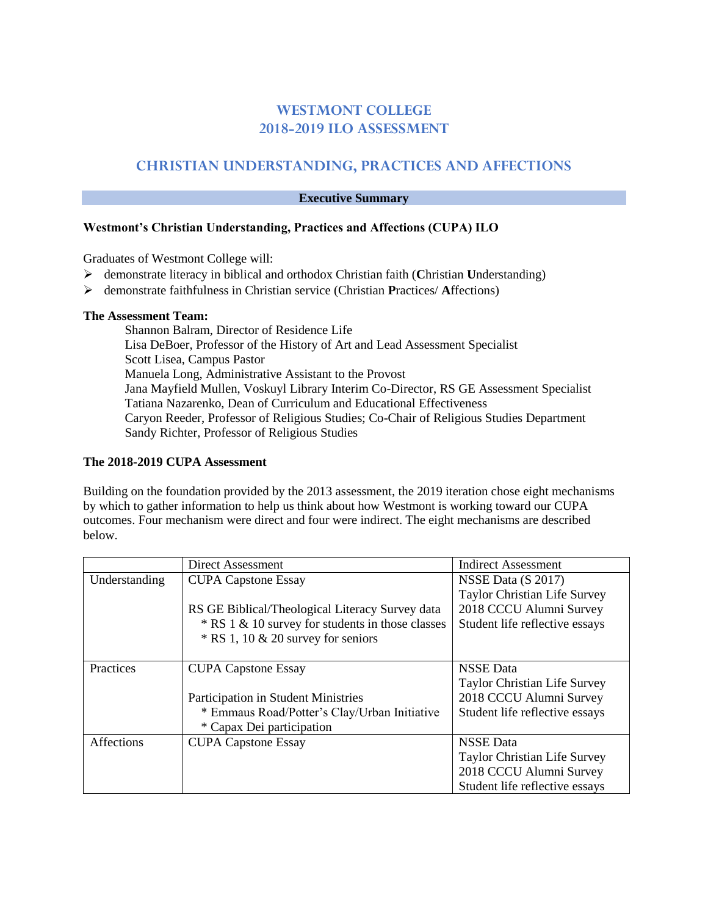# **WESTMONT COLLEGE 2018-2019 ILO ASSESSMENT**

# **CHRISTIAN UNDERSTANDING, PRACTICES AND AFFECTIONS**

## **Executive Summary**

# **Westmont's Christian Understanding, Practices and Affections (CUPA) ILO**

Graduates of Westmont College will:

- demonstrate literacy in biblical and orthodox Christian faith (**C**hristian **U**nderstanding)
- demonstrate faithfulness in Christian service (Christian **P**ractices/ **A**ffections)

### **The Assessment Team:**

Shannon Balram, Director of Residence Life Lisa DeBoer, Professor of the History of Art and Lead Assessment Specialist Scott Lisea, Campus Pastor Manuela Long, Administrative Assistant to the Provost Jana Mayfield Mullen, Voskuyl Library Interim Co-Director, RS GE Assessment Specialist Tatiana Nazarenko, Dean of Curriculum and Educational Effectiveness Caryon Reeder, Professor of Religious Studies; Co-Chair of Religious Studies Department Sandy Richter, Professor of Religious Studies

### **The 2018-2019 CUPA Assessment**

Building on the foundation provided by the 2013 assessment, the 2019 iteration chose eight mechanisms by which to gather information to help us think about how Westmont is working toward our CUPA outcomes. Four mechanism were direct and four were indirect. The eight mechanisms are described below.

|               | Direct Assessment                                | <b>Indirect Assessment</b>          |
|---------------|--------------------------------------------------|-------------------------------------|
| Understanding | <b>CUPA Capstone Essay</b>                       | NSSE Data (S 2017)                  |
|               |                                                  | Taylor Christian Life Survey        |
|               | RS GE Biblical/Theological Literacy Survey data  | 2018 CCCU Alumni Survey             |
|               | * RS 1 & 10 survey for students in those classes | Student life reflective essays      |
|               | $*$ RS 1, 10 & 20 survey for seniors             |                                     |
|               |                                                  |                                     |
| Practices     | <b>CUPA Capstone Essay</b>                       | <b>NSSE</b> Data                    |
|               |                                                  | Taylor Christian Life Survey        |
|               | <b>Participation in Student Ministries</b>       | 2018 CCCU Alumni Survey             |
|               | * Emmaus Road/Potter's Clay/Urban Initiative     | Student life reflective essays      |
|               | * Capax Dei participation                        |                                     |
| Affections    | <b>CUPA Capstone Essay</b>                       | <b>NSSE</b> Data                    |
|               |                                                  | <b>Taylor Christian Life Survey</b> |
|               |                                                  | 2018 CCCU Alumni Survey             |
|               |                                                  | Student life reflective essays      |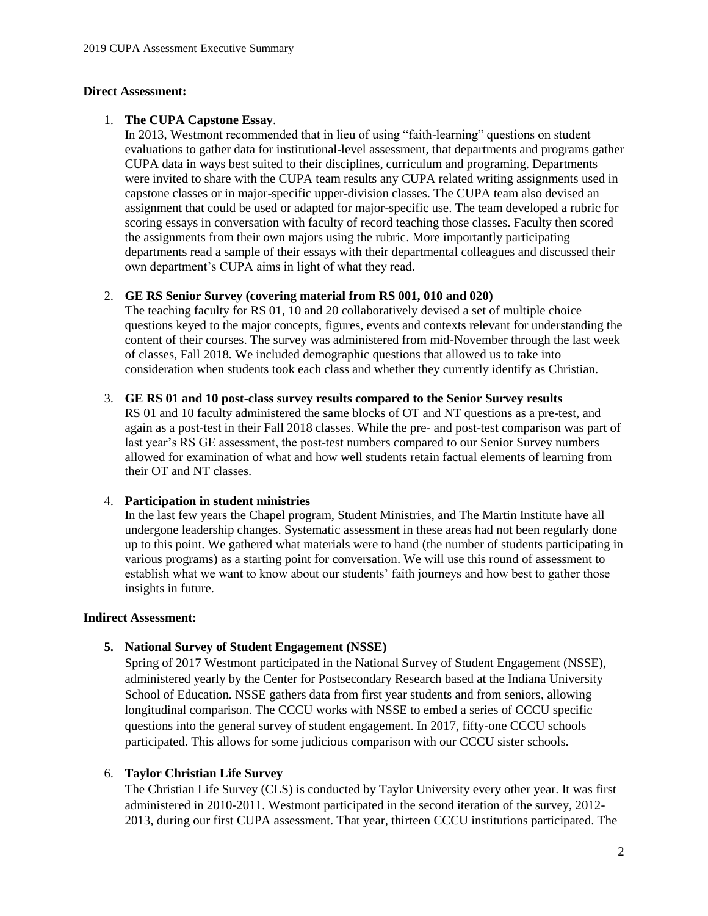#### **Direct Assessment:**

### 1. **The CUPA Capstone Essay**.

In 2013, Westmont recommended that in lieu of using "faith-learning" questions on student evaluations to gather data for institutional-level assessment, that departments and programs gather CUPA data in ways best suited to their disciplines, curriculum and programing. Departments were invited to share with the CUPA team results any CUPA related writing assignments used in capstone classes or in major-specific upper-division classes. The CUPA team also devised an assignment that could be used or adapted for major-specific use. The team developed a rubric for scoring essays in conversation with faculty of record teaching those classes. Faculty then scored the assignments from their own majors using the rubric. More importantly participating departments read a sample of their essays with their departmental colleagues and discussed their own department's CUPA aims in light of what they read.

### 2. **GE RS Senior Survey (covering material from RS 001, 010 and 020)**

The teaching faculty for RS 01, 10 and 20 collaboratively devised a set of multiple choice questions keyed to the major concepts, figures, events and contexts relevant for understanding the content of their courses. The survey was administered from mid-November through the last week of classes, Fall 2018. We included demographic questions that allowed us to take into consideration when students took each class and whether they currently identify as Christian.

#### 3. **GE RS 01 and 10 post-class survey results compared to the Senior Survey results**

RS 01 and 10 faculty administered the same blocks of OT and NT questions as a pre-test, and again as a post-test in their Fall 2018 classes. While the pre- and post-test comparison was part of last year's RS GE assessment, the post-test numbers compared to our Senior Survey numbers allowed for examination of what and how well students retain factual elements of learning from their OT and NT classes.

#### 4. **Participation in student ministries**

In the last few years the Chapel program, Student Ministries, and The Martin Institute have all undergone leadership changes. Systematic assessment in these areas had not been regularly done up to this point. We gathered what materials were to hand (the number of students participating in various programs) as a starting point for conversation. We will use this round of assessment to establish what we want to know about our students' faith journeys and how best to gather those insights in future.

### **Indirect Assessment:**

### **5. National Survey of Student Engagement (NSSE)**

Spring of 2017 Westmont participated in the National Survey of Student Engagement (NSSE), administered yearly by the Center for Postsecondary Research based at the Indiana University School of Education. NSSE gathers data from first year students and from seniors, allowing longitudinal comparison. The CCCU works with NSSE to embed a series of CCCU specific questions into the general survey of student engagement. In 2017, fifty-one CCCU schools participated. This allows for some judicious comparison with our CCCU sister schools.

### 6. **Taylor Christian Life Survey**

The Christian Life Survey (CLS) is conducted by Taylor University every other year. It was first administered in 2010-2011. Westmont participated in the second iteration of the survey, 2012- 2013, during our first CUPA assessment. That year, thirteen CCCU institutions participated. The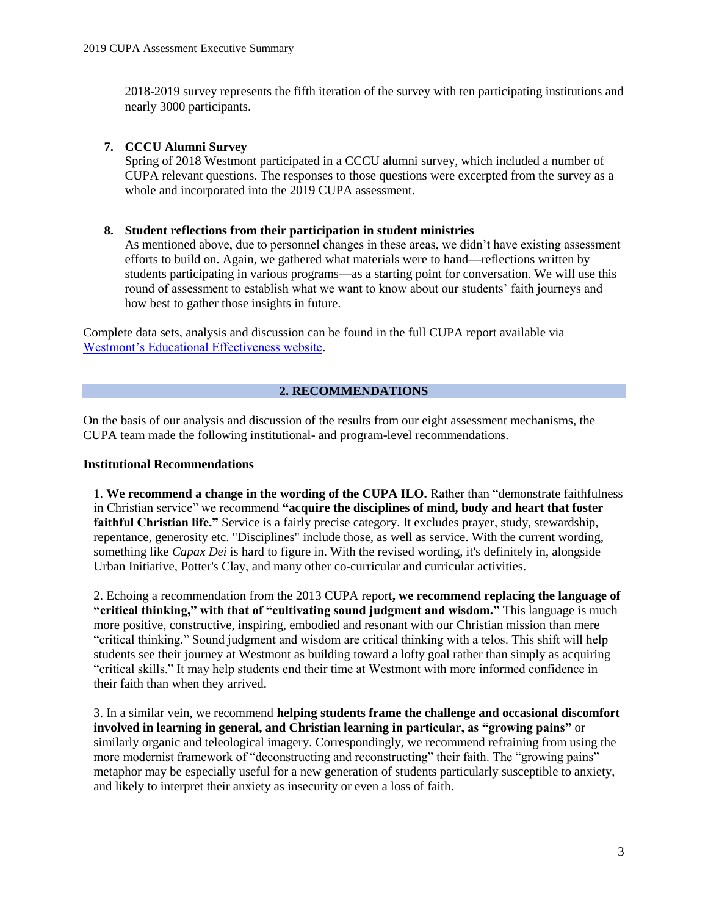2018-2019 survey represents the fifth iteration of the survey with ten participating institutions and nearly 3000 participants.

# **7. CCCU Alumni Survey**

Spring of 2018 Westmont participated in a CCCU alumni survey, which included a number of CUPA relevant questions. The responses to those questions were excerpted from the survey as a whole and incorporated into the 2019 CUPA assessment.

### **8. Student reflections from their participation in student ministries**

As mentioned above, due to personnel changes in these areas, we didn't have existing assessment efforts to build on. Again, we gathered what materials were to hand—reflections written by students participating in various programs—as a starting point for conversation. We will use this round of assessment to establish what we want to know about our students' faith journeys and how best to gather those insights in future.

Complete data sets, analysis and discussion can be found in the full CUPA report available via [Westmont's Educational Effectiveness website.](https://www.westmont.edu/office-provost/educational-effectiveness/ilo-assessment-archives)

# **2. RECOMMENDATIONS**

On the basis of our analysis and discussion of the results from our eight assessment mechanisms, the CUPA team made the following institutional- and program-level recommendations.

### **Institutional Recommendations**

1. **We recommend a change in the wording of the CUPA ILO.** Rather than "demonstrate faithfulness in Christian service" we recommend **"acquire the disciplines of mind, body and heart that foster faithful Christian life."** Service is a fairly precise category. It excludes prayer, study, stewardship, repentance, generosity etc. "Disciplines" include those, as well as service. With the current wording, something like *Capax Dei* is hard to figure in. With the revised wording, it's definitely in, alongside Urban Initiative, Potter's Clay, and many other co-curricular and curricular activities.

2. Echoing a recommendation from the 2013 CUPA report**, we recommend replacing the language of "critical thinking," with that of "cultivating sound judgment and wisdom."** This language is much more positive, constructive, inspiring, embodied and resonant with our Christian mission than mere "critical thinking." Sound judgment and wisdom are critical thinking with a telos. This shift will help students see their journey at Westmont as building toward a lofty goal rather than simply as acquiring "critical skills." It may help students end their time at Westmont with more informed confidence in their faith than when they arrived.

3. In a similar vein, we recommend **helping students frame the challenge and occasional discomfort involved in learning in general, and Christian learning in particular, as "growing pains"** or similarly organic and teleological imagery. Correspondingly, we recommend refraining from using the more modernist framework of "deconstructing and reconstructing" their faith. The "growing pains" metaphor may be especially useful for a new generation of students particularly susceptible to anxiety, and likely to interpret their anxiety as insecurity or even a loss of faith.